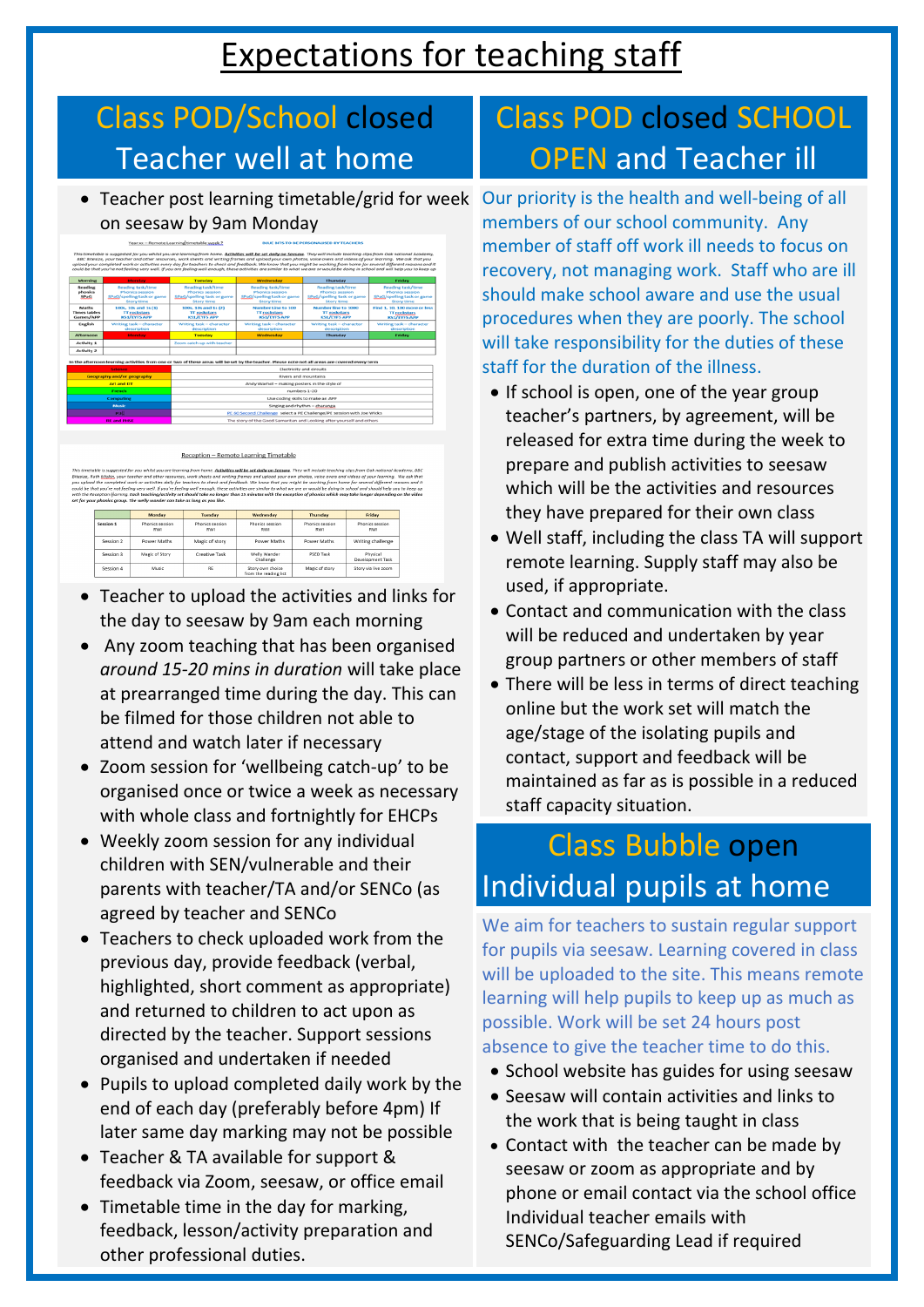# Expectations for teaching staff

## Class POD/School closed Teacher well at home

### Class POD closed SCHOOL OPEN and Teacher ill

 Teacher post learning timetable/grid for week Our priority is the health and well-being of all on seesaw by 9am Monday



#### Reception - Remote Learning Timetable

This timetable is suggested for you whilst you are learning from home. <u>Activities will be set daily on Seesay</u>. They will include teaching clips from Oak national Academy, BBC Bitesize, Ruth <u>Miskin</u>, your teacher and oth

|           | Monday                 | Tuesday                | Wednesday                                 | Thursday               | Friday                       |
|-----------|------------------------|------------------------|-------------------------------------------|------------------------|------------------------------|
| Session 1 | Phonics session<br>RWI | Phonics session<br>RWI | Phonics session<br>RWI                    | Phonics session<br>RWI | Phonics session<br>RWI       |
| Session 2 | Power Maths            | Magic of story         | Power Maths                               | Power Maths            | Writing challenge            |
| Session 3 | Magic of Story         | Creative Task          | Welly Wander<br>Challenge                 | <b>PSED Task</b>       | Physical<br>Development Task |
| Session 4 | Music                  | <b>RE</b>              | Story own choice<br>from the reading list | Magic of story         | Story via live zoom          |

- Teacher to upload the activities and links for the day to seesaw by 9am each morning
- Any zoom teaching that has been organised *around 15-20 mins in duration* will take place at prearranged time during the day. This can be filmed for those children not able to attend and watch later if necessary
- Zoom session for 'wellbeing catch-up' to be organised once or twice a week as necessary with whole class and fortnightly for EHCPs
- Weekly zoom session for any individual children with SEN/vulnerable and their parents with teacher/TA and/or SENCo (as agreed by teacher and SENCo
- Teachers to check uploaded work from the previous day, provide feedback (verbal, highlighted, short comment as appropriate) and returned to children to act upon as directed by the teacher. Support sessions organised and undertaken if needed
- If school is open, one of the year group teacher's partners, by agreement, will be released for extra time during the week to prepare and publish activities to seesaw which will be the activities and resources they have prepared for their own class
- Well staff, including the class TA will support remote learning. Supply staff may also be used, if appropriate.
- Contact and communication with the class will be reduced and undertaken by year group partners or other members of staff
- There will be less in terms of direct teaching online but the work set will match the age/stage of the isolating pupils and contact, support and feedback will be maintained as far as is possible in a reduced staff capacity situation.

members of our school community. Any member of staff off work ill needs to focus on recovery, not managing work. Staff who are ill should make school aware and use the usual procedures when they are poorly. The school will take responsibility for the duties of these staff for the duration of the illness.

- Pupils to upload completed daily work by the end of each day (preferably before 4pm) If later same day marking may not be possible
- Teacher & TA available for support & feedback via Zoom, seesaw, or office email
- Timetable time in the day for marking, feedback, lesson/activity preparation and other professional duties.
- School website has guides for using seesaw
- Seesaw will contain activities and links to the work that is being taught in class
- Contact with the teacher can be made by seesaw or zoom as appropriate and by phone or email contact via the school office Individual teacher emails with SENCo/Safeguarding Lead if required

## Class Bubble open Individual pupils at home

We aim for teachers to sustain regular support for pupils via seesaw. Learning covered in class will be uploaded to the site. This means remote learning will help pupils to keep up as much as possible. Work will be set 24 hours post absence to give the teacher time to do this.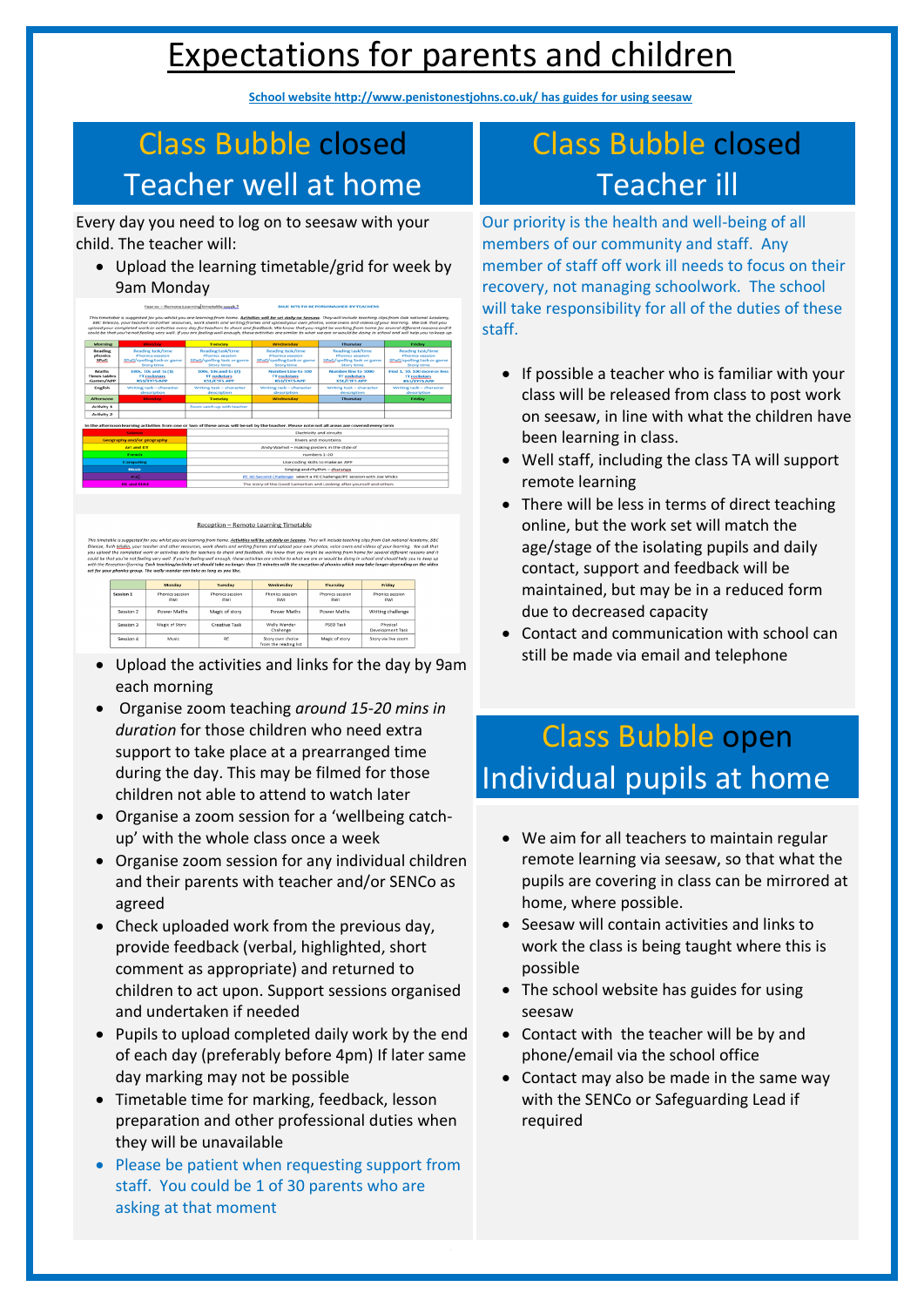# Expectations for parents and children

**School website http://www.penistonestjohns.co.uk/ has guides for using seesaw**

### Class Bubble closed Teacher well at home

## Class Bubble closed Teacher ill

Every day you need to log on to seesaw with your child. The teacher will:

 Upload the learning timetable/grid for week by 9am Monday

| Tear XX - Remote Learningtimetable week, [<br><b>BLUE BUS TO BE PERSONALISED BY TEACHERS</b><br>This timetable is suggested for you whilst you are learning from home. Activities will be set daily on Seesaw. They will include teaching clips from Oak national Academy,<br>BBC Bitesize, your teacher and other resources, work sheets and writing frames and upload your own photos, voice overs and videos of your learning. We ask that you<br>upload your completed work or activities every day for teachers to check and feedback. We know that you might be working from home for several different reasons and it<br>could be that you're not feeling very well. If you are feeling well enough, these activities are similar to what we are or would be doing in school and will help you to keep up |                                                                                                                                                  |                                                                                         |                                                                                         |                                                                                                |                                                                                         |  |  |
|------------------------------------------------------------------------------------------------------------------------------------------------------------------------------------------------------------------------------------------------------------------------------------------------------------------------------------------------------------------------------------------------------------------------------------------------------------------------------------------------------------------------------------------------------------------------------------------------------------------------------------------------------------------------------------------------------------------------------------------------------------------------------------------------------------------|--------------------------------------------------------------------------------------------------------------------------------------------------|-----------------------------------------------------------------------------------------|-----------------------------------------------------------------------------------------|------------------------------------------------------------------------------------------------|-----------------------------------------------------------------------------------------|--|--|
| <b>Morning</b>                                                                                                                                                                                                                                                                                                                                                                                                                                                                                                                                                                                                                                                                                                                                                                                                   | Monday                                                                                                                                           | Tuesday                                                                                 | Wednesday                                                                               | <b>Thursday</b>                                                                                | Friday                                                                                  |  |  |
| Reading<br>phonics<br>SPaG                                                                                                                                                                                                                                                                                                                                                                                                                                                                                                                                                                                                                                                                                                                                                                                       | Reading task/time<br>Phonics session<br>SPaG/spelling task or game<br><b>Story time</b>                                                          | Reading task/time<br>Phonics session<br>SPaG/spelling task or game<br><b>Story time</b> | Reading task/time<br>Phonics session<br>SPaG/spelling task or game<br><b>Story time</b> | Reading task/time<br><b>Phonics session</b><br>SPaG/spelling task or game<br><b>Story time</b> | Reading task/time<br>Phonics session<br>SPaG/spelling task or game<br><b>Story time</b> |  |  |
| <b>Maths</b><br><b>Times tables</b><br>Games/APP                                                                                                                                                                                                                                                                                                                                                                                                                                                                                                                                                                                                                                                                                                                                                                 | 100s, 10s and 1s (1)<br><b>TT</b> rockstars<br><b>KS1/EYFS APP</b>                                                                               | 100s, 10s and 1s (2)<br><b>TT</b> rockstars<br><b>KS1/EYFS APP</b>                      | Number Line to 100<br><b>TT</b> rockstars<br><b>KS1/EYFS APP</b>                        | Number line to 1000<br><b>TT</b> rockstars<br><b>KS1/EYFS APP</b>                              | Find 1, 10, 100 more or less<br><b>TT</b> rockstars<br><b>KS1/EYFS APP</b>              |  |  |
| English                                                                                                                                                                                                                                                                                                                                                                                                                                                                                                                                                                                                                                                                                                                                                                                                          | Writing task - character<br>description                                                                                                          | Writing task - character<br>description                                                 | Writing task - character<br>description                                                 | Writing task - character<br>description                                                        | Writing task - character<br>description                                                 |  |  |
| <b>Afternoon</b>                                                                                                                                                                                                                                                                                                                                                                                                                                                                                                                                                                                                                                                                                                                                                                                                 | Monday                                                                                                                                           | <b>Tuesday</b>                                                                          | Wednesday                                                                               | Thursday                                                                                       | Friday                                                                                  |  |  |
| Activity 1                                                                                                                                                                                                                                                                                                                                                                                                                                                                                                                                                                                                                                                                                                                                                                                                       |                                                                                                                                                  | Zoom catch-up with teacher                                                              |                                                                                         |                                                                                                |                                                                                         |  |  |
| Activity 2                                                                                                                                                                                                                                                                                                                                                                                                                                                                                                                                                                                                                                                                                                                                                                                                       |                                                                                                                                                  |                                                                                         |                                                                                         |                                                                                                |                                                                                         |  |  |
|                                                                                                                                                                                                                                                                                                                                                                                                                                                                                                                                                                                                                                                                                                                                                                                                                  | In the afternoon learning activities from one or two of these areas will be set by the teacher. Please note not all areas are covered every term |                                                                                         |                                                                                         |                                                                                                |                                                                                         |  |  |
| <b>Science</b>                                                                                                                                                                                                                                                                                                                                                                                                                                                                                                                                                                                                                                                                                                                                                                                                   |                                                                                                                                                  | Electricity and circuits                                                                |                                                                                         |                                                                                                |                                                                                         |  |  |
| Geography and/or geography                                                                                                                                                                                                                                                                                                                                                                                                                                                                                                                                                                                                                                                                                                                                                                                       |                                                                                                                                                  | Rivers and mountains                                                                    |                                                                                         |                                                                                                |                                                                                         |  |  |
| <b>Art and DT</b>                                                                                                                                                                                                                                                                                                                                                                                                                                                                                                                                                                                                                                                                                                                                                                                                |                                                                                                                                                  | Andy Warhol - making posters in the style of                                            |                                                                                         |                                                                                                |                                                                                         |  |  |
| French                                                                                                                                                                                                                                                                                                                                                                                                                                                                                                                                                                                                                                                                                                                                                                                                           |                                                                                                                                                  | numbers 1-20                                                                            |                                                                                         |                                                                                                |                                                                                         |  |  |
| <b>Computing</b>                                                                                                                                                                                                                                                                                                                                                                                                                                                                                                                                                                                                                                                                                                                                                                                                 |                                                                                                                                                  | Use coding skills to make an APP                                                        |                                                                                         |                                                                                                |                                                                                         |  |  |
| Music                                                                                                                                                                                                                                                                                                                                                                                                                                                                                                                                                                                                                                                                                                                                                                                                            |                                                                                                                                                  | Singing and rhythm - charanga                                                           |                                                                                         |                                                                                                |                                                                                         |  |  |
| <b>P.EU</b>                                                                                                                                                                                                                                                                                                                                                                                                                                                                                                                                                                                                                                                                                                                                                                                                      |                                                                                                                                                  | PE 60 Second Challenge select a PE Challenge/PE session with Joe Wicks                  |                                                                                         |                                                                                                |                                                                                         |  |  |
|                                                                                                                                                                                                                                                                                                                                                                                                                                                                                                                                                                                                                                                                                                                                                                                                                  | The story of the Good Samaritan and Looking after yourself and others<br><b>REand PHSE</b>                                                       |                                                                                         |                                                                                         |                                                                                                |                                                                                         |  |  |

#### Reception - Remote Learning Timetable

his timetable is suggested for you whilst you are learning from home. <u>Activities will be set daily on Seesaw</u>. They will include teaching clips from Oak national Academy,<br>itesize, Ruth <u>Miskin</u>, your teacher and other res

|           | Monday                 | Tuesday                | Wednesday                                 | Thursday               | Friday                       |
|-----------|------------------------|------------------------|-------------------------------------------|------------------------|------------------------------|
|           |                        |                        |                                           |                        |                              |
| Session 1 | Phonics session<br>RWI | Phonics session<br>RWI | Phonics session<br>RWI                    | Phonics session<br>RWI | Phonics session<br>RWI       |
| Session 2 | Power Maths            | Magic of story         | Power Maths                               | Power Maths            | Writing challenge            |
| Session 3 | Magic of Story         | Creative Task          | Welly Wander<br>Challenge                 | PSED Task              | Physical<br>Development Task |
| Session 4 | Music                  | RE                     | Story own choice<br>from the reading list | Magic of story         | Story via live zoom          |

- Upload the activities and links for the day by 9am each morning
- Organise zoom teaching *around 15-20 mins in duration* for those children who need extra support to take place at a prearranged time during the day. This may be filmed for those children not able to attend to watch later
- Organise a zoom session for a 'wellbeing catchup' with the whole class once a week
- Organise zoom session for any individual children and their parents with teacher and/or SENCo as agreed
- Check uploaded work from the previous day, provide feedback (verbal, highlighted, short comment as appropriate) and returned to children to act upon. Support sessions organised and undertaken if needed
- If possible a teacher who is familiar with your class will be released from class to post work on seesaw, in line with what the children have been learning in class.
- Well staff, including the class TA will support remote learning
- There will be less in terms of direct teaching online, but the work set will match the age/stage of the isolating pupils and daily contact, support and feedback will be maintained, but may be in a reduced form due to decreased capacity
- Contact and communication with school can still be made via email and telephone

Our priority is the health and well-being of all members of our community and staff. Any member of staff off work ill needs to focus on their recovery, not managing schoolwork. The school will take responsibility for all of the duties of these staff.

# Class Bubble open Individual pupils at home

- We aim for all teachers to maintain regular remote learning via seesaw, so that what the pupils are covering in class can be mirrored at home, where possible.
- Seesaw will contain activities and links to work the class is being taught where this is possible
- The school website has guides for using seesaw
- Pupils to upload completed daily work by the end of each day (preferably before 4pm) If later same day marking may not be possible
- Timetable time for marking, feedback, lesson preparation and other professional duties when they will be unavailable
- Please be patient when requesting support from staff. You could be 1 of 30 parents who are asking at that moment
- Contact with the teacher will be by and phone/email via the school office
- Contact may also be made in the same way with the SENCo or Safeguarding Lead if required